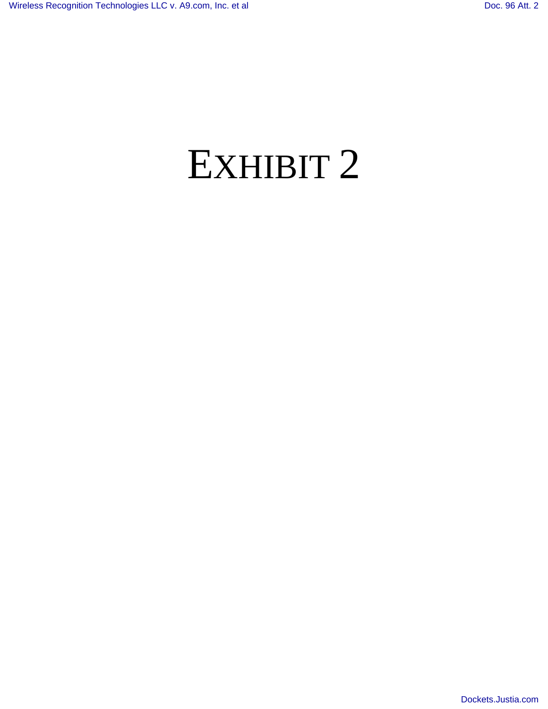# EXHIBIT 2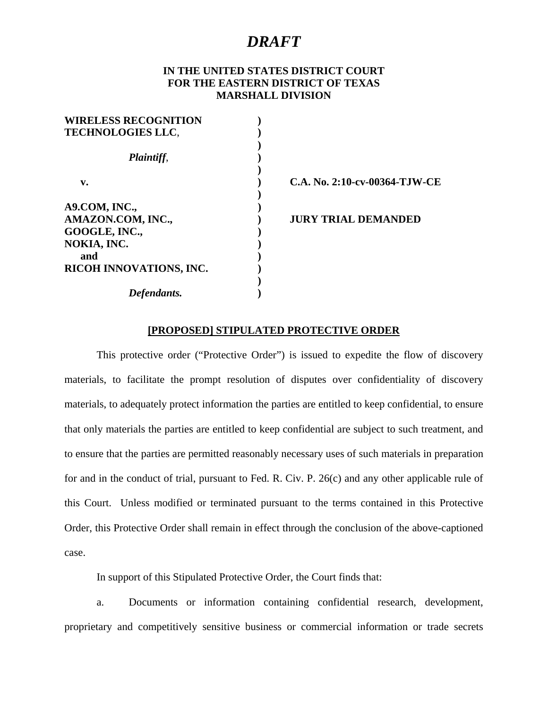#### **IN THE UNITED STATES DISTRICT COURT FOR THE EASTERN DISTRICT OF TEXAS MARSHALL DIVISION**

| C.A. No. 2:10-cv-00364-TJW-CE |                            |
|-------------------------------|----------------------------|
|                               | <b>JURY TRIAL DEMANDED</b> |
|                               |                            |

#### **[PROPOSED] STIPULATED PROTECTIVE ORDER**

This protective order ("Protective Order") is issued to expedite the flow of discovery materials, to facilitate the prompt resolution of disputes over confidentiality of discovery materials, to adequately protect information the parties are entitled to keep confidential, to ensure that only materials the parties are entitled to keep confidential are subject to such treatment, and to ensure that the parties are permitted reasonably necessary uses of such materials in preparation for and in the conduct of trial, pursuant to Fed. R. Civ. P. 26(c) and any other applicable rule of this Court. Unless modified or terminated pursuant to the terms contained in this Protective Order, this Protective Order shall remain in effect through the conclusion of the above-captioned case.

In support of this Stipulated Protective Order, the Court finds that:

a. Documents or information containing confidential research, development, proprietary and competitively sensitive business or commercial information or trade secrets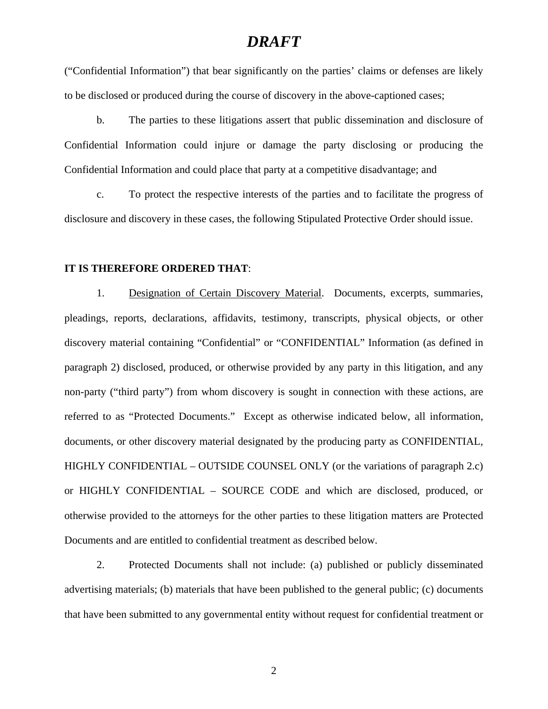("Confidential Information") that bear significantly on the parties' claims or defenses are likely to be disclosed or produced during the course of discovery in the above-captioned cases;

b. The parties to these litigations assert that public dissemination and disclosure of Confidential Information could injure or damage the party disclosing or producing the Confidential Information and could place that party at a competitive disadvantage; and

c. To protect the respective interests of the parties and to facilitate the progress of disclosure and discovery in these cases, the following Stipulated Protective Order should issue.

#### **IT IS THEREFORE ORDERED THAT**:

1. Designation of Certain Discovery Material. Documents, excerpts, summaries, pleadings, reports, declarations, affidavits, testimony, transcripts, physical objects, or other discovery material containing "Confidential" or "CONFIDENTIAL" Information (as defined in paragraph 2) disclosed, produced, or otherwise provided by any party in this litigation, and any non-party ("third party") from whom discovery is sought in connection with these actions, are referred to as "Protected Documents." Except as otherwise indicated below, all information, documents, or other discovery material designated by the producing party as CONFIDENTIAL, HIGHLY CONFIDENTIAL – OUTSIDE COUNSEL ONLY (or the variations of paragraph 2.c) or HIGHLY CONFIDENTIAL – SOURCE CODE and which are disclosed, produced, or otherwise provided to the attorneys for the other parties to these litigation matters are Protected Documents and are entitled to confidential treatment as described below.

2. Protected Documents shall not include: (a) published or publicly disseminated advertising materials; (b) materials that have been published to the general public; (c) documents that have been submitted to any governmental entity without request for confidential treatment or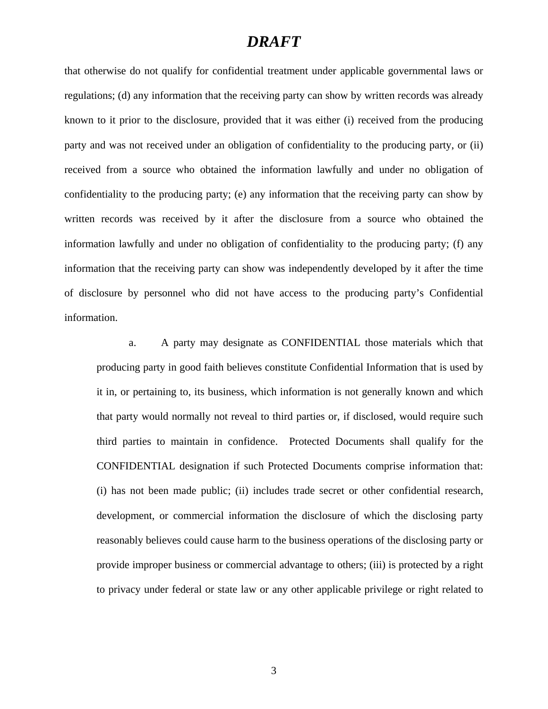that otherwise do not qualify for confidential treatment under applicable governmental laws or regulations; (d) any information that the receiving party can show by written records was already known to it prior to the disclosure, provided that it was either (i) received from the producing party and was not received under an obligation of confidentiality to the producing party, or (ii) received from a source who obtained the information lawfully and under no obligation of confidentiality to the producing party; (e) any information that the receiving party can show by written records was received by it after the disclosure from a source who obtained the information lawfully and under no obligation of confidentiality to the producing party; (f) any information that the receiving party can show was independently developed by it after the time of disclosure by personnel who did not have access to the producing party's Confidential information.

a. A party may designate as CONFIDENTIAL those materials which that producing party in good faith believes constitute Confidential Information that is used by it in, or pertaining to, its business, which information is not generally known and which that party would normally not reveal to third parties or, if disclosed, would require such third parties to maintain in confidence. Protected Documents shall qualify for the CONFIDENTIAL designation if such Protected Documents comprise information that: (i) has not been made public; (ii) includes trade secret or other confidential research, development, or commercial information the disclosure of which the disclosing party reasonably believes could cause harm to the business operations of the disclosing party or provide improper business or commercial advantage to others; (iii) is protected by a right to privacy under federal or state law or any other applicable privilege or right related to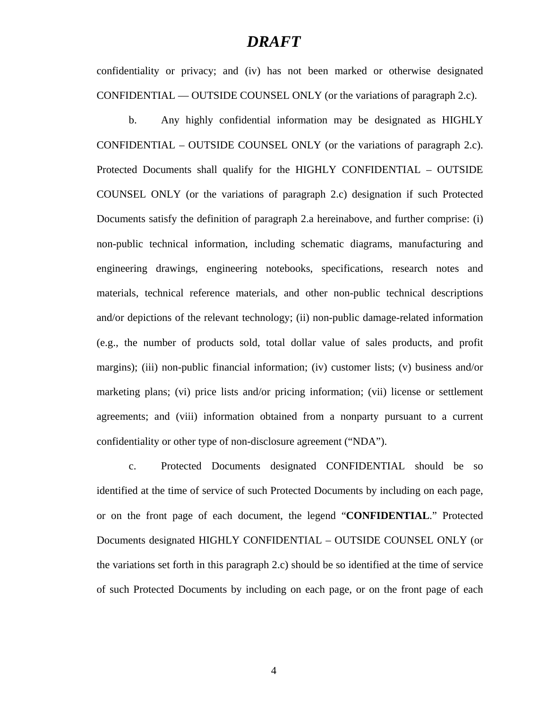confidentiality or privacy; and (iv) has not been marked or otherwise designated CONFIDENTIAL — OUTSIDE COUNSEL ONLY (or the variations of paragraph 2.c).

b. Any highly confidential information may be designated as HIGHLY CONFIDENTIAL – OUTSIDE COUNSEL ONLY (or the variations of paragraph 2.c). Protected Documents shall qualify for the HIGHLY CONFIDENTIAL – OUTSIDE COUNSEL ONLY (or the variations of paragraph 2.c) designation if such Protected Documents satisfy the definition of paragraph 2.a hereinabove, and further comprise: (i) non-public technical information, including schematic diagrams, manufacturing and engineering drawings, engineering notebooks, specifications, research notes and materials, technical reference materials, and other non-public technical descriptions and/or depictions of the relevant technology; (ii) non-public damage-related information (e.g., the number of products sold, total dollar value of sales products, and profit margins); (iii) non-public financial information; (iv) customer lists; (v) business and/or marketing plans; (vi) price lists and/or pricing information; (vii) license or settlement agreements; and (viii) information obtained from a nonparty pursuant to a current confidentiality or other type of non-disclosure agreement ("NDA").

c. Protected Documents designated CONFIDENTIAL should be so identified at the time of service of such Protected Documents by including on each page, or on the front page of each document, the legend "**CONFIDENTIAL**." Protected Documents designated HIGHLY CONFIDENTIAL – OUTSIDE COUNSEL ONLY (or the variations set forth in this paragraph 2.c) should be so identified at the time of service of such Protected Documents by including on each page, or on the front page of each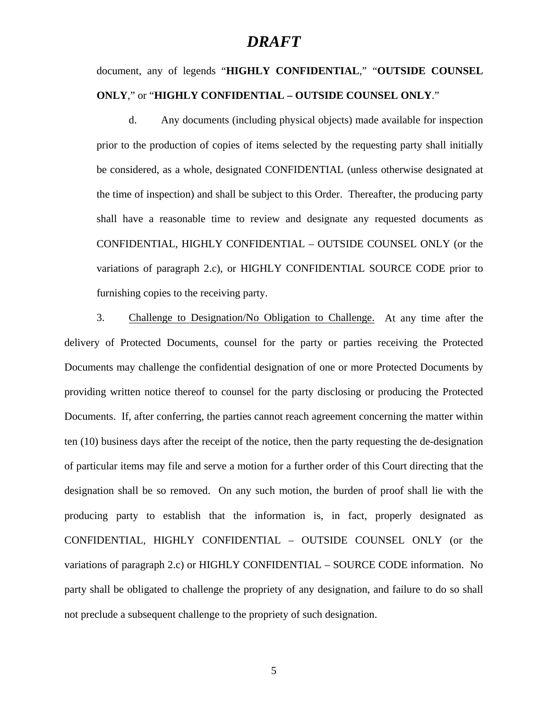document, any of legends "**HIGHLY CONFIDENTIAL**," "**OUTSIDE COUNSEL ONLY**," or "**HIGHLY CONFIDENTIAL – OUTSIDE COUNSEL ONLY**."

d. Any documents (including physical objects) made available for inspection prior to the production of copies of items selected by the requesting party shall initially be considered, as a whole, designated CONFIDENTIAL (unless otherwise designated at the time of inspection) and shall be subject to this Order. Thereafter, the producing party shall have a reasonable time to review and designate any requested documents as CONFIDENTIAL, HIGHLY CONFIDENTIAL – OUTSIDE COUNSEL ONLY (or the variations of paragraph 2.c), or HIGHLY CONFIDENTIAL SOURCE CODE prior to furnishing copies to the receiving party.

3. Challenge to Designation/No Obligation to Challenge. At any time after the delivery of Protected Documents, counsel for the party or parties receiving the Protected Documents may challenge the confidential designation of one or more Protected Documents by providing written notice thereof to counsel for the party disclosing or producing the Protected Documents. If, after conferring, the parties cannot reach agreement concerning the matter within ten (10) business days after the receipt of the notice, then the party requesting the de-designation of particular items may file and serve a motion for a further order of this Court directing that the designation shall be so removed. On any such motion, the burden of proof shall lie with the producing party to establish that the information is, in fact, properly designated as CONFIDENTIAL, HIGHLY CONFIDENTIAL – OUTSIDE COUNSEL ONLY (or the variations of paragraph 2.c) or HIGHLY CONFIDENTIAL – SOURCE CODE information. No party shall be obligated to challenge the propriety of any designation, and failure to do so shall not preclude a subsequent challenge to the propriety of such designation.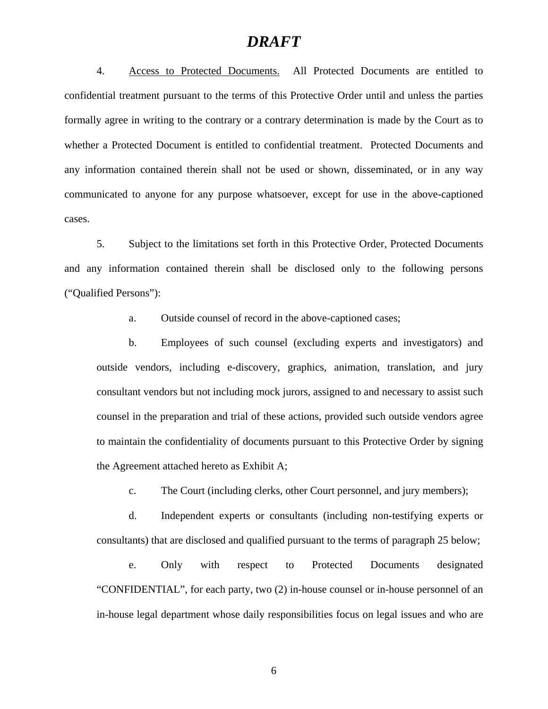4. Access to Protected Documents. All Protected Documents are entitled to confidential treatment pursuant to the terms of this Protective Order until and unless the parties formally agree in writing to the contrary or a contrary determination is made by the Court as to whether a Protected Document is entitled to confidential treatment. Protected Documents and any information contained therein shall not be used or shown, disseminated, or in any way communicated to anyone for any purpose whatsoever, except for use in the above-captioned cases.

5. Subject to the limitations set forth in this Protective Order, Protected Documents and any information contained therein shall be disclosed only to the following persons ("Qualified Persons"):

a. Outside counsel of record in the above-captioned cases;

b. Employees of such counsel (excluding experts and investigators) and outside vendors, including e-discovery, graphics, animation, translation, and jury consultant vendors but not including mock jurors, assigned to and necessary to assist such counsel in the preparation and trial of these actions, provided such outside vendors agree to maintain the confidentiality of documents pursuant to this Protective Order by signing the Agreement attached hereto as Exhibit A;

c. The Court (including clerks, other Court personnel, and jury members);

d. Independent experts or consultants (including non-testifying experts or consultants) that are disclosed and qualified pursuant to the terms of paragraph 25 below;

e. Only with respect to Protected Documents designated "CONFIDENTIAL", for each party, two (2) in-house counsel or in-house personnel of an in-house legal department whose daily responsibilities focus on legal issues and who are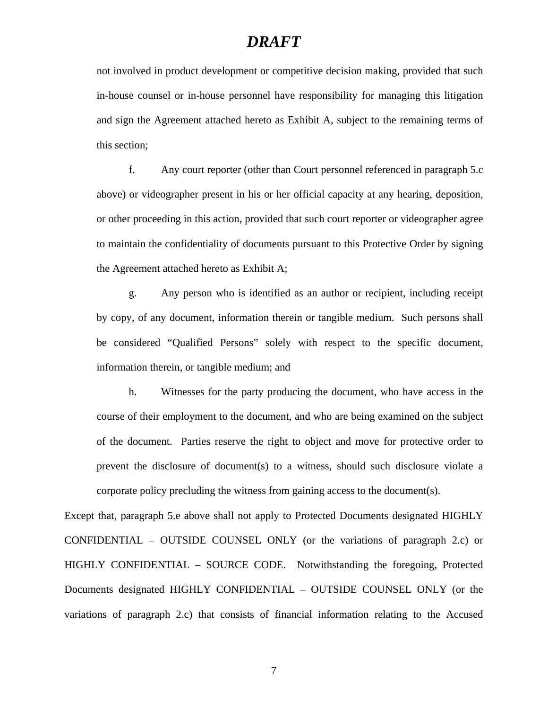not involved in product development or competitive decision making, provided that such in-house counsel or in-house personnel have responsibility for managing this litigation and sign the Agreement attached hereto as Exhibit A, subject to the remaining terms of this section;

f. Any court reporter (other than Court personnel referenced in paragraph 5.c above) or videographer present in his or her official capacity at any hearing, deposition, or other proceeding in this action, provided that such court reporter or videographer agree to maintain the confidentiality of documents pursuant to this Protective Order by signing the Agreement attached hereto as Exhibit A;

g. Any person who is identified as an author or recipient, including receipt by copy, of any document, information therein or tangible medium. Such persons shall be considered "Qualified Persons" solely with respect to the specific document, information therein, or tangible medium; and

h. Witnesses for the party producing the document, who have access in the course of their employment to the document, and who are being examined on the subject of the document. Parties reserve the right to object and move for protective order to prevent the disclosure of document(s) to a witness, should such disclosure violate a corporate policy precluding the witness from gaining access to the document(s).

Except that, paragraph 5.e above shall not apply to Protected Documents designated HIGHLY CONFIDENTIAL – OUTSIDE COUNSEL ONLY (or the variations of paragraph 2.c) or HIGHLY CONFIDENTIAL – SOURCE CODE. Notwithstanding the foregoing, Protected Documents designated HIGHLY CONFIDENTIAL – OUTSIDE COUNSEL ONLY (or the variations of paragraph 2.c) that consists of financial information relating to the Accused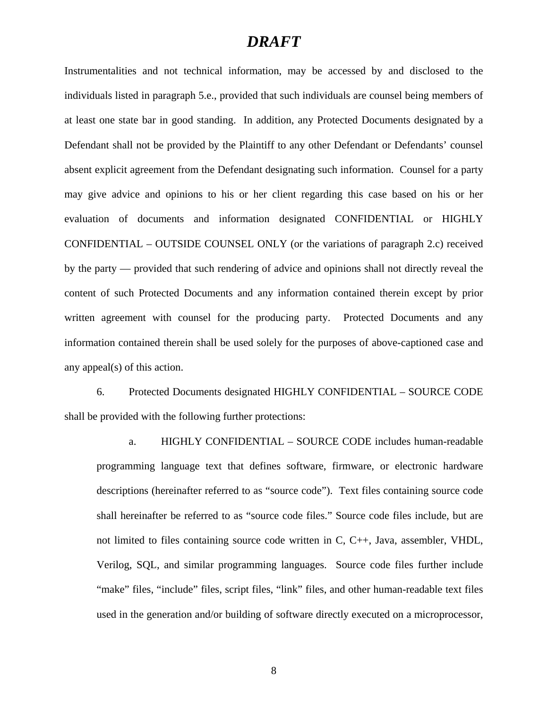Instrumentalities and not technical information, may be accessed by and disclosed to the individuals listed in paragraph 5.e., provided that such individuals are counsel being members of at least one state bar in good standing. In addition, any Protected Documents designated by a Defendant shall not be provided by the Plaintiff to any other Defendant or Defendants' counsel absent explicit agreement from the Defendant designating such information. Counsel for a party may give advice and opinions to his or her client regarding this case based on his or her evaluation of documents and information designated CONFIDENTIAL or HIGHLY CONFIDENTIAL – OUTSIDE COUNSEL ONLY (or the variations of paragraph 2.c) received by the party — provided that such rendering of advice and opinions shall not directly reveal the content of such Protected Documents and any information contained therein except by prior written agreement with counsel for the producing party. Protected Documents and any information contained therein shall be used solely for the purposes of above-captioned case and any appeal(s) of this action.

6. Protected Documents designated HIGHLY CONFIDENTIAL – SOURCE CODE shall be provided with the following further protections:

a. HIGHLY CONFIDENTIAL – SOURCE CODE includes human-readable programming language text that defines software, firmware, or electronic hardware descriptions (hereinafter referred to as "source code"). Text files containing source code shall hereinafter be referred to as "source code files." Source code files include, but are not limited to files containing source code written in C, C++, Java, assembler, VHDL, Verilog, SQL, and similar programming languages. Source code files further include "make" files, "include" files, script files, "link" files, and other human-readable text files used in the generation and/or building of software directly executed on a microprocessor,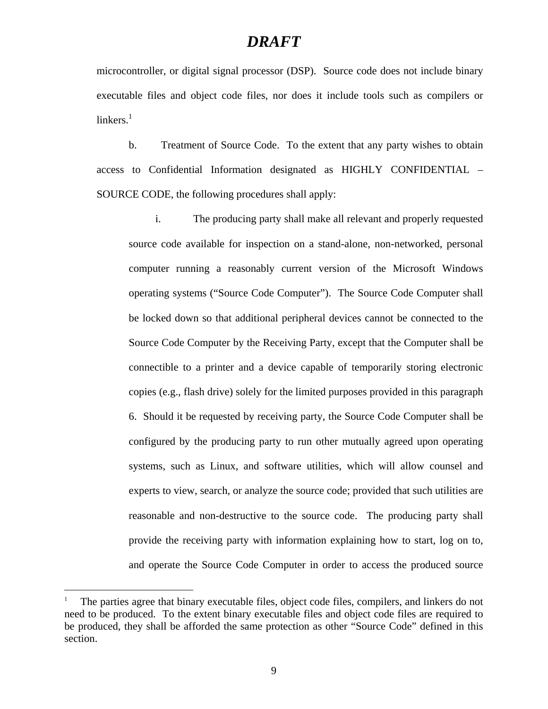microcontroller, or digital signal processor (DSP). Source code does not include binary executable files and object code files, nor does it include tools such as compilers or  $linkers<sup>1</sup>$ 

b. Treatment of Source Code. To the extent that any party wishes to obtain access to Confidential Information designated as HIGHLY CONFIDENTIAL – SOURCE CODE, the following procedures shall apply:

i. The producing party shall make all relevant and properly requested source code available for inspection on a stand-alone, non-networked, personal computer running a reasonably current version of the Microsoft Windows operating systems ("Source Code Computer"). The Source Code Computer shall be locked down so that additional peripheral devices cannot be connected to the Source Code Computer by the Receiving Party, except that the Computer shall be connectible to a printer and a device capable of temporarily storing electronic copies (e.g., flash drive) solely for the limited purposes provided in this paragraph 6. Should it be requested by receiving party, the Source Code Computer shall be configured by the producing party to run other mutually agreed upon operating systems, such as Linux, and software utilities, which will allow counsel and experts to view, search, or analyze the source code; provided that such utilities are reasonable and non-destructive to the source code. The producing party shall provide the receiving party with information explaining how to start, log on to, and operate the Source Code Computer in order to access the produced source

 $\overline{a}$ 

<sup>1</sup> The parties agree that binary executable files, object code files, compilers, and linkers do not need to be produced. To the extent binary executable files and object code files are required to be produced, they shall be afforded the same protection as other "Source Code" defined in this section.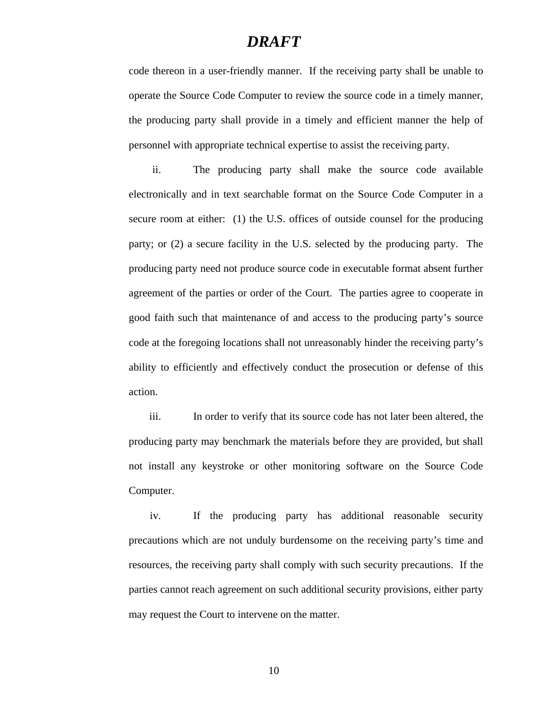code thereon in a user-friendly manner. If the receiving party shall be unable to operate the Source Code Computer to review the source code in a timely manner, the producing party shall provide in a timely and efficient manner the help of personnel with appropriate technical expertise to assist the receiving party.

ii. The producing party shall make the source code available electronically and in text searchable format on the Source Code Computer in a secure room at either: (1) the U.S. offices of outside counsel for the producing party; or (2) a secure facility in the U.S. selected by the producing party. The producing party need not produce source code in executable format absent further agreement of the parties or order of the Court. The parties agree to cooperate in good faith such that maintenance of and access to the producing party's source code at the foregoing locations shall not unreasonably hinder the receiving party's ability to efficiently and effectively conduct the prosecution or defense of this action.

iii. In order to verify that its source code has not later been altered, the producing party may benchmark the materials before they are provided, but shall not install any keystroke or other monitoring software on the Source Code Computer.

iv. If the producing party has additional reasonable security precautions which are not unduly burdensome on the receiving party's time and resources, the receiving party shall comply with such security precautions. If the parties cannot reach agreement on such additional security provisions, either party may request the Court to intervene on the matter.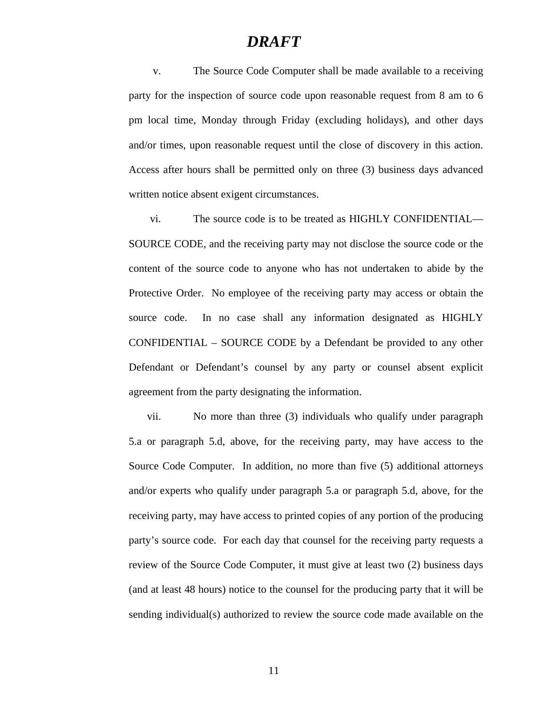v. The Source Code Computer shall be made available to a receiving party for the inspection of source code upon reasonable request from 8 am to 6 pm local time, Monday through Friday (excluding holidays), and other days and/or times, upon reasonable request until the close of discovery in this action. Access after hours shall be permitted only on three (3) business days advanced written notice absent exigent circumstances.

vi. The source code is to be treated as HIGHLY CONFIDENTIAL— SOURCE CODE, and the receiving party may not disclose the source code or the content of the source code to anyone who has not undertaken to abide by the Protective Order. No employee of the receiving party may access or obtain the source code. In no case shall any information designated as HIGHLY CONFIDENTIAL – SOURCE CODE by a Defendant be provided to any other Defendant or Defendant's counsel by any party or counsel absent explicit agreement from the party designating the information.

vii. No more than three (3) individuals who qualify under paragraph 5.a or paragraph 5.d, above, for the receiving party, may have access to the Source Code Computer. In addition, no more than five (5) additional attorneys and/or experts who qualify under paragraph 5.a or paragraph 5.d, above, for the receiving party, may have access to printed copies of any portion of the producing party's source code. For each day that counsel for the receiving party requests a review of the Source Code Computer, it must give at least two (2) business days (and at least 48 hours) notice to the counsel for the producing party that it will be sending individual(s) authorized to review the source code made available on the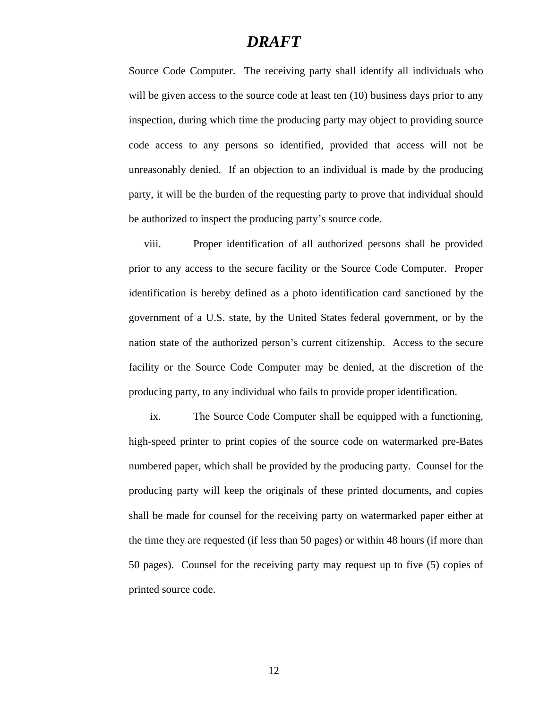Source Code Computer. The receiving party shall identify all individuals who will be given access to the source code at least ten (10) business days prior to any inspection, during which time the producing party may object to providing source code access to any persons so identified, provided that access will not be unreasonably denied. If an objection to an individual is made by the producing party, it will be the burden of the requesting party to prove that individual should be authorized to inspect the producing party's source code.

viii. Proper identification of all authorized persons shall be provided prior to any access to the secure facility or the Source Code Computer. Proper identification is hereby defined as a photo identification card sanctioned by the government of a U.S. state, by the United States federal government, or by the nation state of the authorized person's current citizenship. Access to the secure facility or the Source Code Computer may be denied, at the discretion of the producing party, to any individual who fails to provide proper identification.

ix. The Source Code Computer shall be equipped with a functioning, high-speed printer to print copies of the source code on watermarked pre-Bates numbered paper, which shall be provided by the producing party. Counsel for the producing party will keep the originals of these printed documents, and copies shall be made for counsel for the receiving party on watermarked paper either at the time they are requested (if less than 50 pages) or within 48 hours (if more than 50 pages). Counsel for the receiving party may request up to five (5) copies of printed source code.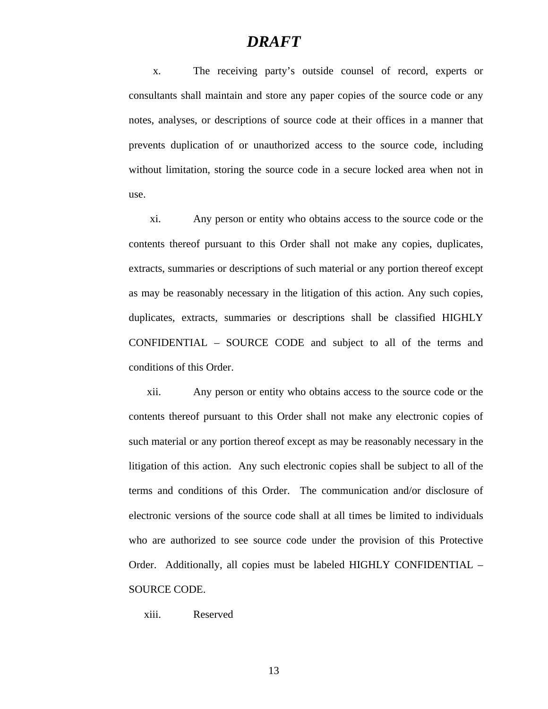x. The receiving party's outside counsel of record, experts or consultants shall maintain and store any paper copies of the source code or any notes, analyses, or descriptions of source code at their offices in a manner that prevents duplication of or unauthorized access to the source code, including without limitation, storing the source code in a secure locked area when not in use.

xi. Any person or entity who obtains access to the source code or the contents thereof pursuant to this Order shall not make any copies, duplicates, extracts, summaries or descriptions of such material or any portion thereof except as may be reasonably necessary in the litigation of this action. Any such copies, duplicates, extracts, summaries or descriptions shall be classified HIGHLY CONFIDENTIAL – SOURCE CODE and subject to all of the terms and conditions of this Order.

xii. Any person or entity who obtains access to the source code or the contents thereof pursuant to this Order shall not make any electronic copies of such material or any portion thereof except as may be reasonably necessary in the litigation of this action. Any such electronic copies shall be subject to all of the terms and conditions of this Order. The communication and/or disclosure of electronic versions of the source code shall at all times be limited to individuals who are authorized to see source code under the provision of this Protective Order. Additionally, all copies must be labeled HIGHLY CONFIDENTIAL – SOURCE CODE.

xiii. Reserved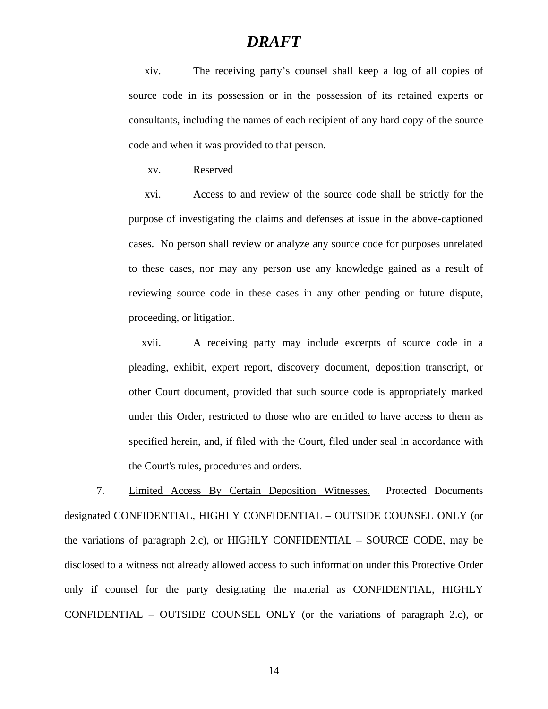xiv. The receiving party's counsel shall keep a log of all copies of source code in its possession or in the possession of its retained experts or consultants, including the names of each recipient of any hard copy of the source code and when it was provided to that person.

xv. Reserved

xvi. Access to and review of the source code shall be strictly for the purpose of investigating the claims and defenses at issue in the above-captioned cases. No person shall review or analyze any source code for purposes unrelated to these cases, nor may any person use any knowledge gained as a result of reviewing source code in these cases in any other pending or future dispute, proceeding, or litigation.

xvii. A receiving party may include excerpts of source code in a pleading, exhibit, expert report, discovery document, deposition transcript, or other Court document, provided that such source code is appropriately marked under this Order, restricted to those who are entitled to have access to them as specified herein, and, if filed with the Court, filed under seal in accordance with the Court's rules, procedures and orders.

7. Limited Access By Certain Deposition Witnesses. Protected Documents designated CONFIDENTIAL, HIGHLY CONFIDENTIAL – OUTSIDE COUNSEL ONLY (or the variations of paragraph 2.c), or HIGHLY CONFIDENTIAL – SOURCE CODE, may be disclosed to a witness not already allowed access to such information under this Protective Order only if counsel for the party designating the material as CONFIDENTIAL, HIGHLY CONFIDENTIAL – OUTSIDE COUNSEL ONLY (or the variations of paragraph 2.c), or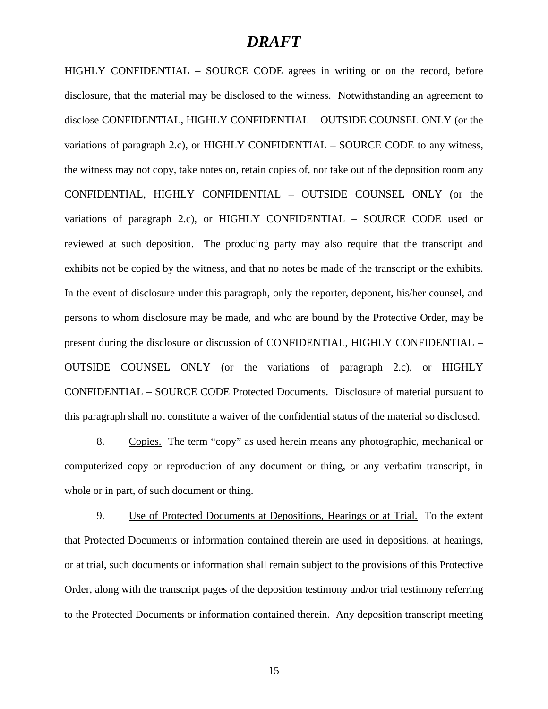HIGHLY CONFIDENTIAL – SOURCE CODE agrees in writing or on the record, before disclosure, that the material may be disclosed to the witness. Notwithstanding an agreement to disclose CONFIDENTIAL, HIGHLY CONFIDENTIAL – OUTSIDE COUNSEL ONLY (or the variations of paragraph 2.c), or HIGHLY CONFIDENTIAL – SOURCE CODE to any witness, the witness may not copy, take notes on, retain copies of, nor take out of the deposition room any CONFIDENTIAL, HIGHLY CONFIDENTIAL – OUTSIDE COUNSEL ONLY (or the variations of paragraph 2.c), or HIGHLY CONFIDENTIAL – SOURCE CODE used or reviewed at such deposition. The producing party may also require that the transcript and exhibits not be copied by the witness, and that no notes be made of the transcript or the exhibits. In the event of disclosure under this paragraph, only the reporter, deponent, his/her counsel, and persons to whom disclosure may be made, and who are bound by the Protective Order, may be present during the disclosure or discussion of CONFIDENTIAL, HIGHLY CONFIDENTIAL – OUTSIDE COUNSEL ONLY (or the variations of paragraph 2.c), or HIGHLY CONFIDENTIAL – SOURCE CODE Protected Documents. Disclosure of material pursuant to this paragraph shall not constitute a waiver of the confidential status of the material so disclosed.

8. Copies. The term "copy" as used herein means any photographic, mechanical or computerized copy or reproduction of any document or thing, or any verbatim transcript, in whole or in part, of such document or thing.

9. Use of Protected Documents at Depositions, Hearings or at Trial. To the extent that Protected Documents or information contained therein are used in depositions, at hearings, or at trial, such documents or information shall remain subject to the provisions of this Protective Order, along with the transcript pages of the deposition testimony and/or trial testimony referring to the Protected Documents or information contained therein. Any deposition transcript meeting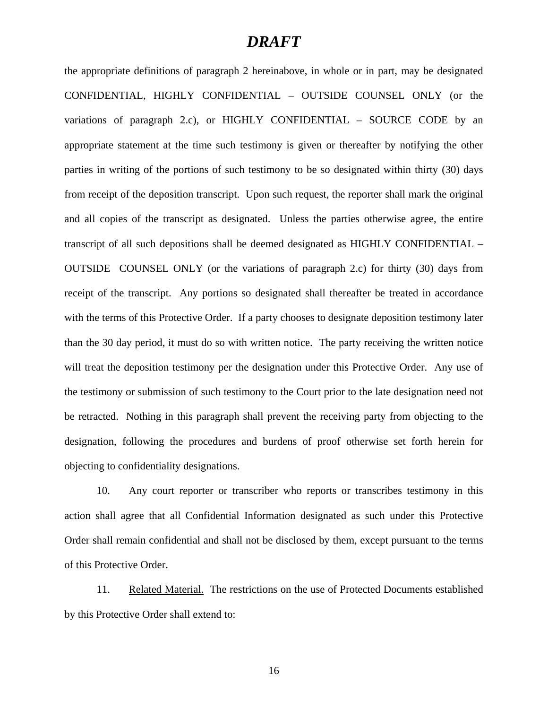the appropriate definitions of paragraph 2 hereinabove, in whole or in part, may be designated CONFIDENTIAL, HIGHLY CONFIDENTIAL – OUTSIDE COUNSEL ONLY (or the variations of paragraph 2.c), or HIGHLY CONFIDENTIAL – SOURCE CODE by an appropriate statement at the time such testimony is given or thereafter by notifying the other parties in writing of the portions of such testimony to be so designated within thirty (30) days from receipt of the deposition transcript. Upon such request, the reporter shall mark the original and all copies of the transcript as designated. Unless the parties otherwise agree, the entire transcript of all such depositions shall be deemed designated as HIGHLY CONFIDENTIAL – OUTSIDE COUNSEL ONLY (or the variations of paragraph 2.c) for thirty (30) days from receipt of the transcript. Any portions so designated shall thereafter be treated in accordance with the terms of this Protective Order. If a party chooses to designate deposition testimony later than the 30 day period, it must do so with written notice. The party receiving the written notice will treat the deposition testimony per the designation under this Protective Order. Any use of the testimony or submission of such testimony to the Court prior to the late designation need not be retracted. Nothing in this paragraph shall prevent the receiving party from objecting to the designation, following the procedures and burdens of proof otherwise set forth herein for objecting to confidentiality designations.

10. Any court reporter or transcriber who reports or transcribes testimony in this action shall agree that all Confidential Information designated as such under this Protective Order shall remain confidential and shall not be disclosed by them, except pursuant to the terms of this Protective Order.

11. Related Material. The restrictions on the use of Protected Documents established by this Protective Order shall extend to: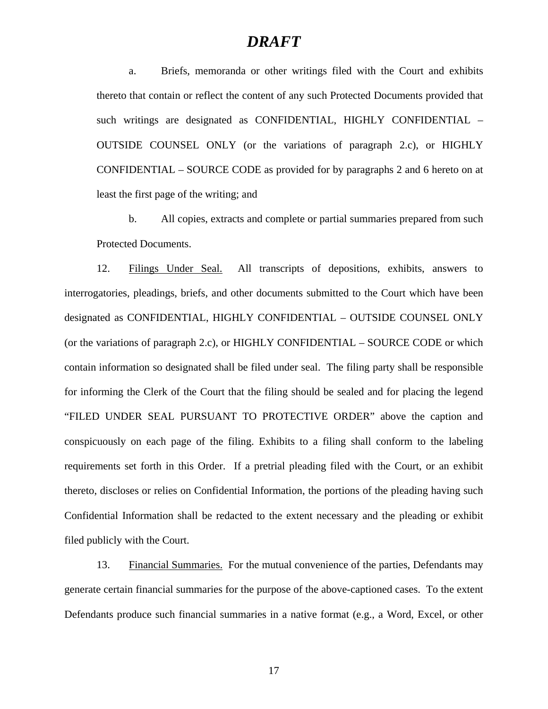a. Briefs, memoranda or other writings filed with the Court and exhibits thereto that contain or reflect the content of any such Protected Documents provided that such writings are designated as CONFIDENTIAL, HIGHLY CONFIDENTIAL – OUTSIDE COUNSEL ONLY (or the variations of paragraph 2.c), or HIGHLY CONFIDENTIAL – SOURCE CODE as provided for by paragraphs 2 and 6 hereto on at least the first page of the writing; and

b. All copies, extracts and complete or partial summaries prepared from such Protected Documents.

12. Filings Under Seal. All transcripts of depositions, exhibits, answers to interrogatories, pleadings, briefs, and other documents submitted to the Court which have been designated as CONFIDENTIAL, HIGHLY CONFIDENTIAL – OUTSIDE COUNSEL ONLY (or the variations of paragraph 2.c), or HIGHLY CONFIDENTIAL – SOURCE CODE or which contain information so designated shall be filed under seal. The filing party shall be responsible for informing the Clerk of the Court that the filing should be sealed and for placing the legend "FILED UNDER SEAL PURSUANT TO PROTECTIVE ORDER" above the caption and conspicuously on each page of the filing. Exhibits to a filing shall conform to the labeling requirements set forth in this Order. If a pretrial pleading filed with the Court, or an exhibit thereto, discloses or relies on Confidential Information, the portions of the pleading having such Confidential Information shall be redacted to the extent necessary and the pleading or exhibit filed publicly with the Court.

13. Financial Summaries. For the mutual convenience of the parties, Defendants may generate certain financial summaries for the purpose of the above-captioned cases. To the extent Defendants produce such financial summaries in a native format (e.g., a Word, Excel, or other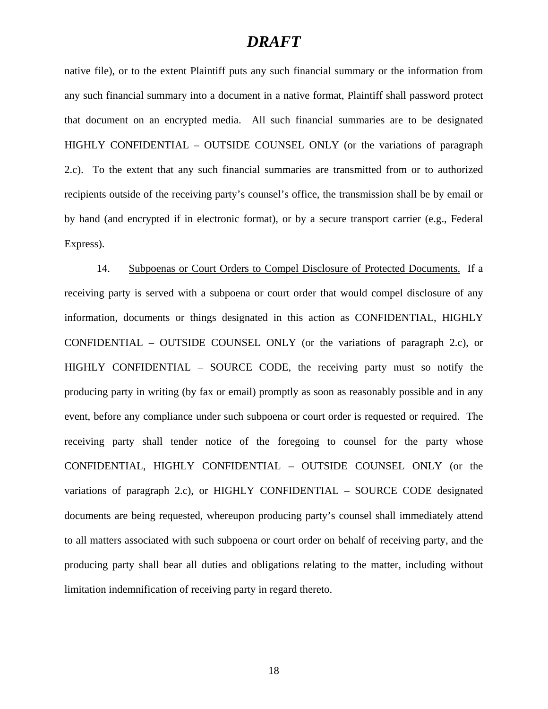native file), or to the extent Plaintiff puts any such financial summary or the information from any such financial summary into a document in a native format, Plaintiff shall password protect that document on an encrypted media. All such financial summaries are to be designated HIGHLY CONFIDENTIAL – OUTSIDE COUNSEL ONLY (or the variations of paragraph 2.c). To the extent that any such financial summaries are transmitted from or to authorized recipients outside of the receiving party's counsel's office, the transmission shall be by email or by hand (and encrypted if in electronic format), or by a secure transport carrier (e.g., Federal Express).

14. Subpoenas or Court Orders to Compel Disclosure of Protected Documents. If a receiving party is served with a subpoena or court order that would compel disclosure of any information, documents or things designated in this action as CONFIDENTIAL, HIGHLY CONFIDENTIAL – OUTSIDE COUNSEL ONLY (or the variations of paragraph 2.c), or HIGHLY CONFIDENTIAL – SOURCE CODE, the receiving party must so notify the producing party in writing (by fax or email) promptly as soon as reasonably possible and in any event, before any compliance under such subpoena or court order is requested or required. The receiving party shall tender notice of the foregoing to counsel for the party whose CONFIDENTIAL, HIGHLY CONFIDENTIAL – OUTSIDE COUNSEL ONLY (or the variations of paragraph 2.c), or HIGHLY CONFIDENTIAL – SOURCE CODE designated documents are being requested, whereupon producing party's counsel shall immediately attend to all matters associated with such subpoena or court order on behalf of receiving party, and the producing party shall bear all duties and obligations relating to the matter, including without limitation indemnification of receiving party in regard thereto.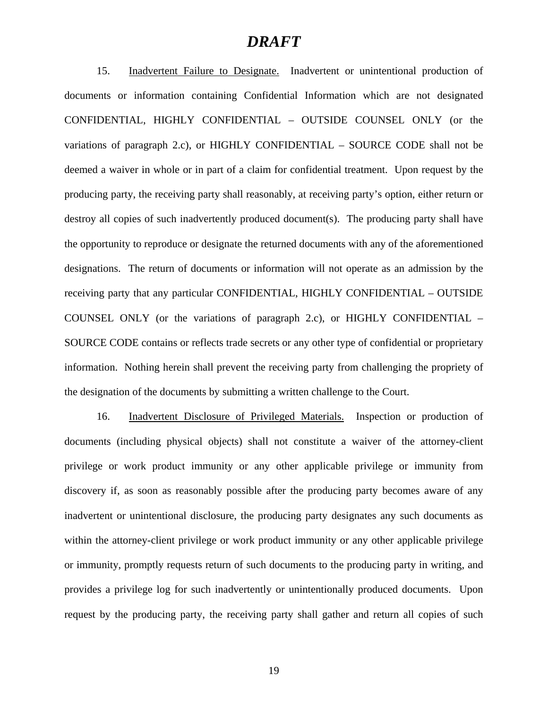15. Inadvertent Failure to Designate. Inadvertent or unintentional production of documents or information containing Confidential Information which are not designated CONFIDENTIAL, HIGHLY CONFIDENTIAL – OUTSIDE COUNSEL ONLY (or the variations of paragraph 2.c), or HIGHLY CONFIDENTIAL – SOURCE CODE shall not be deemed a waiver in whole or in part of a claim for confidential treatment. Upon request by the producing party, the receiving party shall reasonably, at receiving party's option, either return or destroy all copies of such inadvertently produced document(s). The producing party shall have the opportunity to reproduce or designate the returned documents with any of the aforementioned designations. The return of documents or information will not operate as an admission by the receiving party that any particular CONFIDENTIAL, HIGHLY CONFIDENTIAL – OUTSIDE COUNSEL ONLY (or the variations of paragraph 2.c), or HIGHLY CONFIDENTIAL – SOURCE CODE contains or reflects trade secrets or any other type of confidential or proprietary information. Nothing herein shall prevent the receiving party from challenging the propriety of the designation of the documents by submitting a written challenge to the Court.

16. Inadvertent Disclosure of Privileged Materials. Inspection or production of documents (including physical objects) shall not constitute a waiver of the attorney-client privilege or work product immunity or any other applicable privilege or immunity from discovery if, as soon as reasonably possible after the producing party becomes aware of any inadvertent or unintentional disclosure, the producing party designates any such documents as within the attorney-client privilege or work product immunity or any other applicable privilege or immunity, promptly requests return of such documents to the producing party in writing, and provides a privilege log for such inadvertently or unintentionally produced documents. Upon request by the producing party, the receiving party shall gather and return all copies of such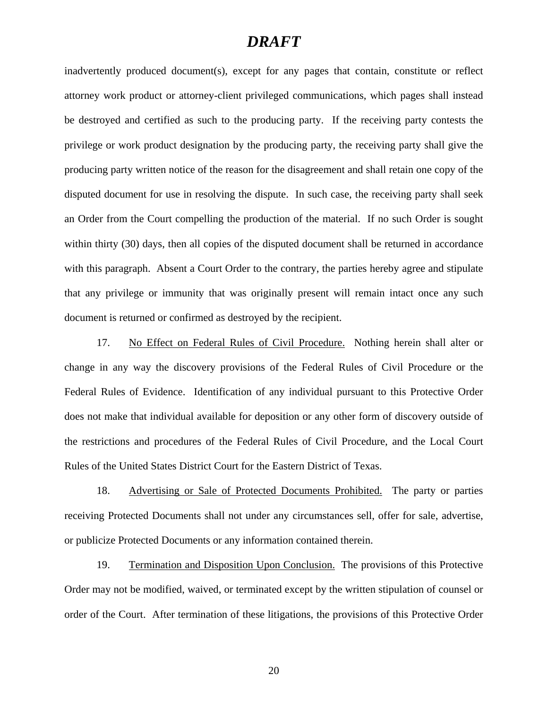inadvertently produced document(s), except for any pages that contain, constitute or reflect attorney work product or attorney-client privileged communications, which pages shall instead be destroyed and certified as such to the producing party. If the receiving party contests the privilege or work product designation by the producing party, the receiving party shall give the producing party written notice of the reason for the disagreement and shall retain one copy of the disputed document for use in resolving the dispute. In such case, the receiving party shall seek an Order from the Court compelling the production of the material. If no such Order is sought within thirty (30) days, then all copies of the disputed document shall be returned in accordance with this paragraph. Absent a Court Order to the contrary, the parties hereby agree and stipulate that any privilege or immunity that was originally present will remain intact once any such document is returned or confirmed as destroyed by the recipient.

17. No Effect on Federal Rules of Civil Procedure. Nothing herein shall alter or change in any way the discovery provisions of the Federal Rules of Civil Procedure or the Federal Rules of Evidence. Identification of any individual pursuant to this Protective Order does not make that individual available for deposition or any other form of discovery outside of the restrictions and procedures of the Federal Rules of Civil Procedure, and the Local Court Rules of the United States District Court for the Eastern District of Texas.

18. Advertising or Sale of Protected Documents Prohibited. The party or parties receiving Protected Documents shall not under any circumstances sell, offer for sale, advertise, or publicize Protected Documents or any information contained therein.

19. Termination and Disposition Upon Conclusion. The provisions of this Protective Order may not be modified, waived, or terminated except by the written stipulation of counsel or order of the Court. After termination of these litigations, the provisions of this Protective Order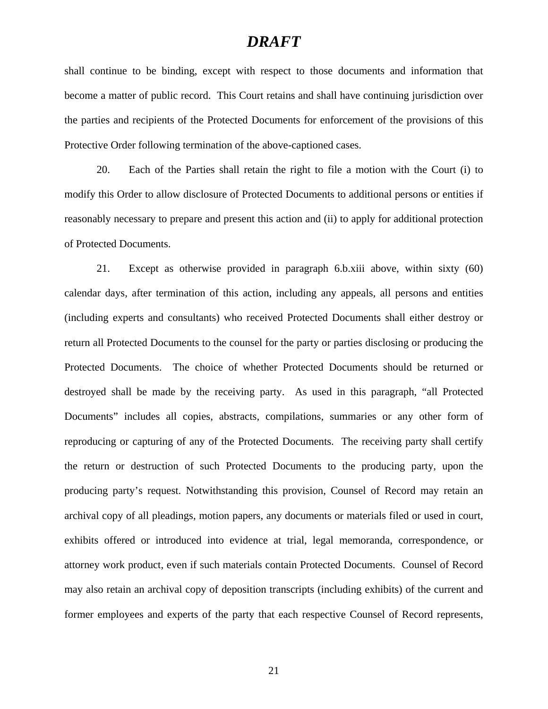shall continue to be binding, except with respect to those documents and information that become a matter of public record. This Court retains and shall have continuing jurisdiction over the parties and recipients of the Protected Documents for enforcement of the provisions of this Protective Order following termination of the above-captioned cases.

20. Each of the Parties shall retain the right to file a motion with the Court (i) to modify this Order to allow disclosure of Protected Documents to additional persons or entities if reasonably necessary to prepare and present this action and (ii) to apply for additional protection of Protected Documents.

21. Except as otherwise provided in paragraph 6.b.xiii above, within sixty (60) calendar days, after termination of this action, including any appeals, all persons and entities (including experts and consultants) who received Protected Documents shall either destroy or return all Protected Documents to the counsel for the party or parties disclosing or producing the Protected Documents. The choice of whether Protected Documents should be returned or destroyed shall be made by the receiving party. As used in this paragraph, "all Protected Documents" includes all copies, abstracts, compilations, summaries or any other form of reproducing or capturing of any of the Protected Documents. The receiving party shall certify the return or destruction of such Protected Documents to the producing party, upon the producing party's request. Notwithstanding this provision, Counsel of Record may retain an archival copy of all pleadings, motion papers, any documents or materials filed or used in court, exhibits offered or introduced into evidence at trial, legal memoranda, correspondence, or attorney work product, even if such materials contain Protected Documents. Counsel of Record may also retain an archival copy of deposition transcripts (including exhibits) of the current and former employees and experts of the party that each respective Counsel of Record represents,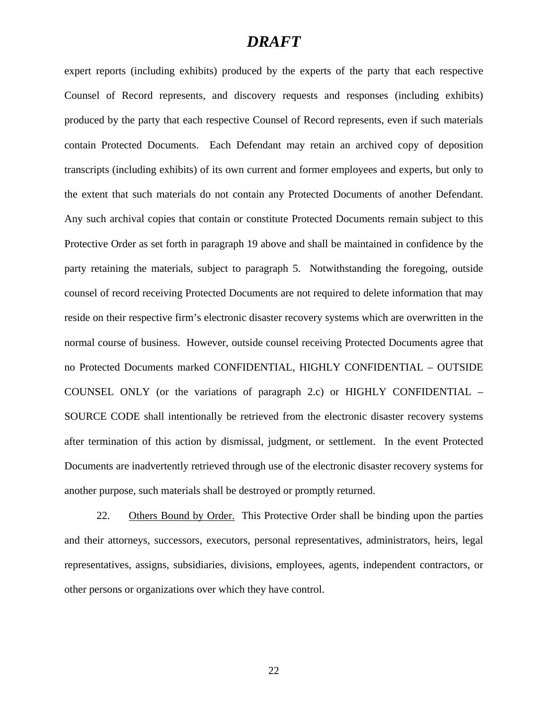expert reports (including exhibits) produced by the experts of the party that each respective Counsel of Record represents, and discovery requests and responses (including exhibits) produced by the party that each respective Counsel of Record represents, even if such materials contain Protected Documents. Each Defendant may retain an archived copy of deposition transcripts (including exhibits) of its own current and former employees and experts, but only to the extent that such materials do not contain any Protected Documents of another Defendant. Any such archival copies that contain or constitute Protected Documents remain subject to this Protective Order as set forth in paragraph 19 above and shall be maintained in confidence by the party retaining the materials, subject to paragraph 5. Notwithstanding the foregoing, outside counsel of record receiving Protected Documents are not required to delete information that may reside on their respective firm's electronic disaster recovery systems which are overwritten in the normal course of business. However, outside counsel receiving Protected Documents agree that no Protected Documents marked CONFIDENTIAL, HIGHLY CONFIDENTIAL – OUTSIDE COUNSEL ONLY (or the variations of paragraph 2.c) or HIGHLY CONFIDENTIAL – SOURCE CODE shall intentionally be retrieved from the electronic disaster recovery systems after termination of this action by dismissal, judgment, or settlement. In the event Protected Documents are inadvertently retrieved through use of the electronic disaster recovery systems for another purpose, such materials shall be destroyed or promptly returned.

22. Others Bound by Order. This Protective Order shall be binding upon the parties and their attorneys, successors, executors, personal representatives, administrators, heirs, legal representatives, assigns, subsidiaries, divisions, employees, agents, independent contractors, or other persons or organizations over which they have control.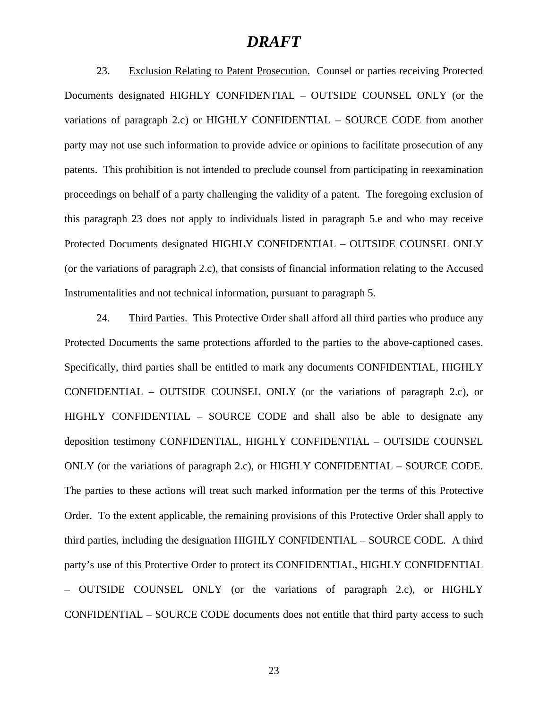23. Exclusion Relating to Patent Prosecution.Counsel or parties receiving Protected Documents designated HIGHLY CONFIDENTIAL – OUTSIDE COUNSEL ONLY (or the variations of paragraph 2.c) or HIGHLY CONFIDENTIAL – SOURCE CODE from another party may not use such information to provide advice or opinions to facilitate prosecution of any patents. This prohibition is not intended to preclude counsel from participating in reexamination proceedings on behalf of a party challenging the validity of a patent. The foregoing exclusion of this paragraph 23 does not apply to individuals listed in paragraph 5.e and who may receive Protected Documents designated HIGHLY CONFIDENTIAL – OUTSIDE COUNSEL ONLY (or the variations of paragraph 2.c), that consists of financial information relating to the Accused Instrumentalities and not technical information, pursuant to paragraph 5.

24. Third Parties.This Protective Order shall afford all third parties who produce any Protected Documents the same protections afforded to the parties to the above-captioned cases. Specifically, third parties shall be entitled to mark any documents CONFIDENTIAL, HIGHLY CONFIDENTIAL – OUTSIDE COUNSEL ONLY (or the variations of paragraph 2.c), or HIGHLY CONFIDENTIAL – SOURCE CODE and shall also be able to designate any deposition testimony CONFIDENTIAL, HIGHLY CONFIDENTIAL – OUTSIDE COUNSEL ONLY (or the variations of paragraph 2.c), or HIGHLY CONFIDENTIAL – SOURCE CODE. The parties to these actions will treat such marked information per the terms of this Protective Order. To the extent applicable, the remaining provisions of this Protective Order shall apply to third parties, including the designation HIGHLY CONFIDENTIAL – SOURCE CODE. A third party's use of this Protective Order to protect its CONFIDENTIAL, HIGHLY CONFIDENTIAL – OUTSIDE COUNSEL ONLY (or the variations of paragraph 2.c), or HIGHLY CONFIDENTIAL – SOURCE CODE documents does not entitle that third party access to such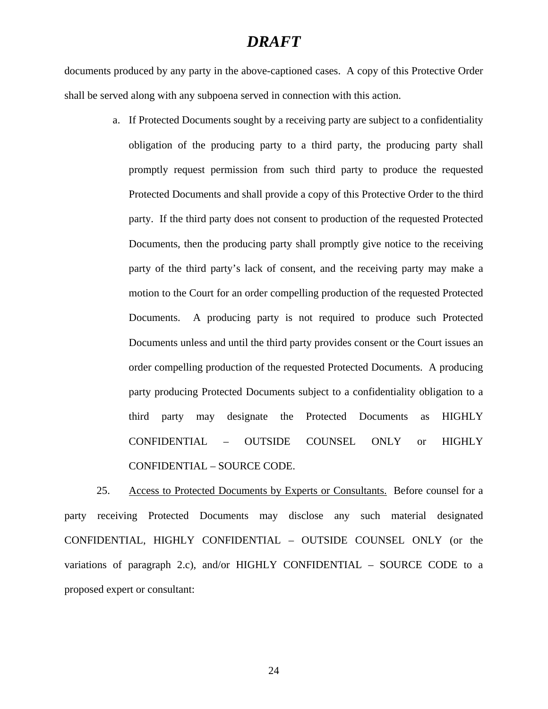documents produced by any party in the above-captioned cases. A copy of this Protective Order shall be served along with any subpoena served in connection with this action.

> a. If Protected Documents sought by a receiving party are subject to a confidentiality obligation of the producing party to a third party, the producing party shall promptly request permission from such third party to produce the requested Protected Documents and shall provide a copy of this Protective Order to the third party. If the third party does not consent to production of the requested Protected Documents, then the producing party shall promptly give notice to the receiving party of the third party's lack of consent, and the receiving party may make a motion to the Court for an order compelling production of the requested Protected Documents. A producing party is not required to produce such Protected Documents unless and until the third party provides consent or the Court issues an order compelling production of the requested Protected Documents. A producing party producing Protected Documents subject to a confidentiality obligation to a third party may designate the Protected Documents as HIGHLY CONFIDENTIAL – OUTSIDE COUNSEL ONLY or HIGHLY CONFIDENTIAL – SOURCE CODE.

25. Access to Protected Documents by Experts or Consultants. Before counsel for a party receiving Protected Documents may disclose any such material designated CONFIDENTIAL, HIGHLY CONFIDENTIAL – OUTSIDE COUNSEL ONLY (or the variations of paragraph 2.c), and/or HIGHLY CONFIDENTIAL – SOURCE CODE to a proposed expert or consultant: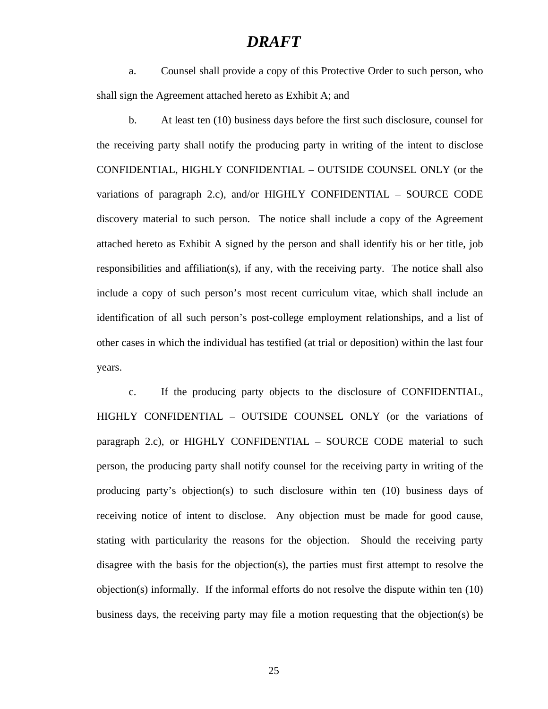a. Counsel shall provide a copy of this Protective Order to such person, who shall sign the Agreement attached hereto as Exhibit A; and

b. At least ten (10) business days before the first such disclosure, counsel for the receiving party shall notify the producing party in writing of the intent to disclose CONFIDENTIAL, HIGHLY CONFIDENTIAL – OUTSIDE COUNSEL ONLY (or the variations of paragraph 2.c), and/or HIGHLY CONFIDENTIAL – SOURCE CODE discovery material to such person. The notice shall include a copy of the Agreement attached hereto as Exhibit A signed by the person and shall identify his or her title, job responsibilities and affiliation(s), if any, with the receiving party. The notice shall also include a copy of such person's most recent curriculum vitae, which shall include an identification of all such person's post-college employment relationships, and a list of other cases in which the individual has testified (at trial or deposition) within the last four years.

c. If the producing party objects to the disclosure of CONFIDENTIAL, HIGHLY CONFIDENTIAL – OUTSIDE COUNSEL ONLY (or the variations of paragraph 2.c), or HIGHLY CONFIDENTIAL – SOURCE CODE material to such person, the producing party shall notify counsel for the receiving party in writing of the producing party's objection(s) to such disclosure within ten (10) business days of receiving notice of intent to disclose. Any objection must be made for good cause, stating with particularity the reasons for the objection. Should the receiving party disagree with the basis for the objection(s), the parties must first attempt to resolve the objection(s) informally. If the informal efforts do not resolve the dispute within ten (10) business days, the receiving party may file a motion requesting that the objection(s) be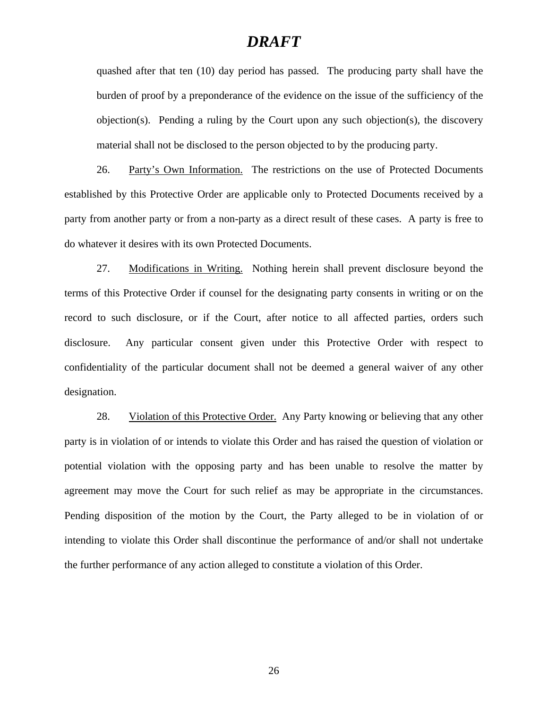quashed after that ten (10) day period has passed. The producing party shall have the burden of proof by a preponderance of the evidence on the issue of the sufficiency of the objection(s). Pending a ruling by the Court upon any such objection(s), the discovery material shall not be disclosed to the person objected to by the producing party.

26. Party's Own Information. The restrictions on the use of Protected Documents established by this Protective Order are applicable only to Protected Documents received by a party from another party or from a non-party as a direct result of these cases. A party is free to do whatever it desires with its own Protected Documents.

27. Modifications in Writing. Nothing herein shall prevent disclosure beyond the terms of this Protective Order if counsel for the designating party consents in writing or on the record to such disclosure, or if the Court, after notice to all affected parties, orders such disclosure. Any particular consent given under this Protective Order with respect to confidentiality of the particular document shall not be deemed a general waiver of any other designation.

28. Violation of this Protective Order. Any Party knowing or believing that any other party is in violation of or intends to violate this Order and has raised the question of violation or potential violation with the opposing party and has been unable to resolve the matter by agreement may move the Court for such relief as may be appropriate in the circumstances. Pending disposition of the motion by the Court, the Party alleged to be in violation of or intending to violate this Order shall discontinue the performance of and/or shall not undertake the further performance of any action alleged to constitute a violation of this Order.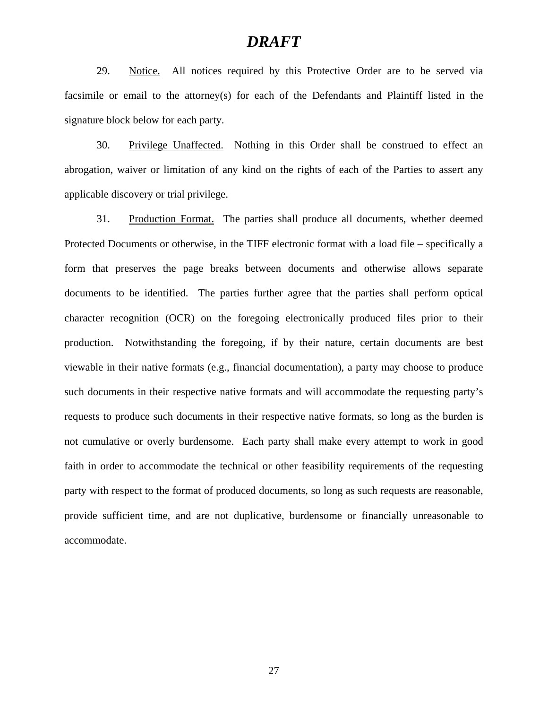29. Notice. All notices required by this Protective Order are to be served via facsimile or email to the attorney(s) for each of the Defendants and Plaintiff listed in the signature block below for each party.

30. Privilege Unaffected. Nothing in this Order shall be construed to effect an abrogation, waiver or limitation of any kind on the rights of each of the Parties to assert any applicable discovery or trial privilege.

31. Production Format. The parties shall produce all documents, whether deemed Protected Documents or otherwise, in the TIFF electronic format with a load file – specifically a form that preserves the page breaks between documents and otherwise allows separate documents to be identified. The parties further agree that the parties shall perform optical character recognition (OCR) on the foregoing electronically produced files prior to their production. Notwithstanding the foregoing, if by their nature, certain documents are best viewable in their native formats (e.g., financial documentation), a party may choose to produce such documents in their respective native formats and will accommodate the requesting party's requests to produce such documents in their respective native formats, so long as the burden is not cumulative or overly burdensome. Each party shall make every attempt to work in good faith in order to accommodate the technical or other feasibility requirements of the requesting party with respect to the format of produced documents, so long as such requests are reasonable, provide sufficient time, and are not duplicative, burdensome or financially unreasonable to accommodate.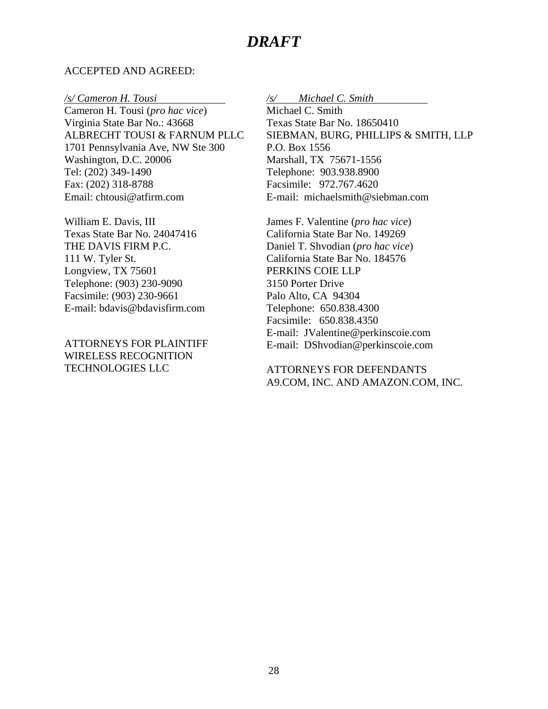#### ACCEPTED AND AGREED:

*/s/ Cameron H. Tousi* 

Cameron H. Tousi (*pro hac vice*) Virginia State Bar No.: 43668 ALBRECHT TOUSI & FARNUM PLLC 1701 Pennsylvania Ave, NW Ste 300 Washington, D.C. 20006 Tel: (202) 349-1490 Fax: (202) 318-8788 Email: chtousi@atfirm.com

William E. Davis, III Texas State Bar No. 24047416 THE DAVIS FIRM P.C. 111 W. Tyler St. Longview, TX 75601 Telephone: (903) 230-9090 Facsimile: (903) 230-9661 E-mail: bdavis@bdavisfirm.com

ATTORNEYS FOR PLAINTIFF WIRELESS RECOGNITION TECHNOLOGIES LLC

*/s/ Michael C. Smith* 

Michael C. Smith Texas State Bar No. 18650410 SIEBMAN, BURG, PHILLIPS & SMITH, LLP P.O. Box 1556 Marshall, TX 75671-1556 Telephone: 903.938.8900 Facsimile: 972.767.4620 E-mail: michaelsmith@siebman.com

James F. Valentine (*pro hac vice*) California State Bar No. 149269 Daniel T. Shvodian (*pro hac vice*) California State Bar No. 184576 PERKINS COIE LLP 3150 Porter Drive Palo Alto, CA 94304 Telephone: 650.838.4300 Facsimile: 650.838.4350 E-mail: JValentine@perkinscoie.com E-mail: DShvodian@perkinscoie.com

ATTORNEYS FOR DEFENDANTS A9.COM, INC. AND AMAZON.COM, INC.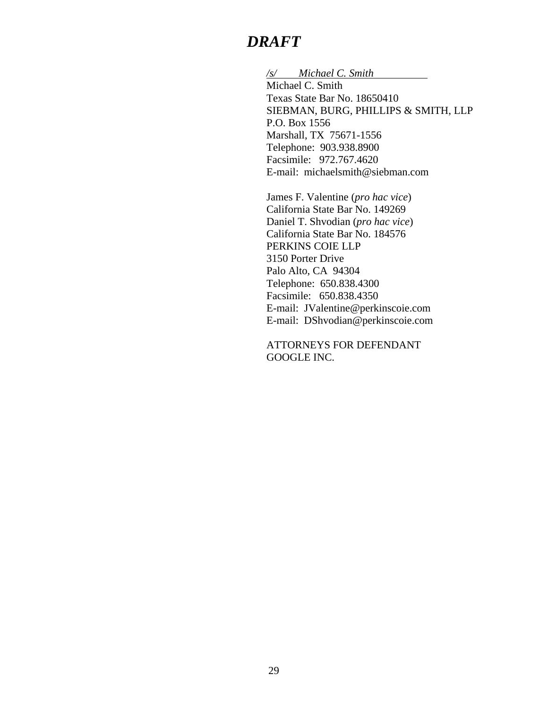*/s/ Michael C. Smith* 

Michael C. Smith Texas State Bar No. 18650410 SIEBMAN, BURG, PHILLIPS & SMITH, LLP P.O. Box 1556 Marshall, TX 75671-1556 Telephone: 903.938.8900 Facsimile: 972.767.4620 E-mail: michaelsmith@siebman.com

James F. Valentine (*pro hac vice*) California State Bar No. 149269 Daniel T. Shvodian (*pro hac vice*) California State Bar No. 184576 PERKINS COIE LLP 3150 Porter Drive Palo Alto, CA 94304 Telephone: 650.838.4300 Facsimile: 650.838.4350 E-mail: JValentine@perkinscoie.com E-mail: DShvodian@perkinscoie.com

ATTORNEYS FOR DEFENDANT GOOGLE INC.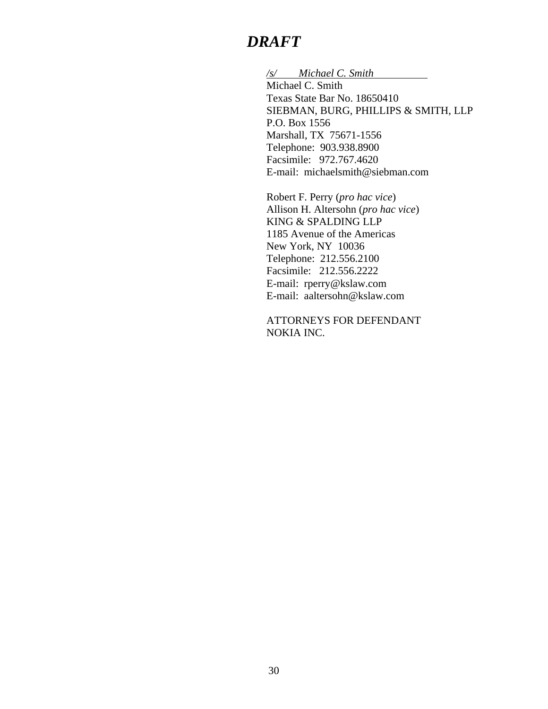*/s/ Michael C. Smith* 

Michael C. Smith Texas State Bar No. 18650410 SIEBMAN, BURG, PHILLIPS & SMITH, LLP P.O. Box 1556 Marshall, TX 75671-1556 Telephone: 903.938.8900 Facsimile: 972.767.4620 E-mail: michaelsmith@siebman.com

Robert F. Perry (*pro hac vice*) Allison H. Altersohn (*pro hac vice*) KING & SPALDING LLP 1185 Avenue of the Americas New York, NY 10036 Telephone: 212.556.2100 Facsimile: 212.556.2222 E-mail: rperry@kslaw.com E-mail: aaltersohn@kslaw.com

ATTORNEYS FOR DEFENDANT NOKIA INC.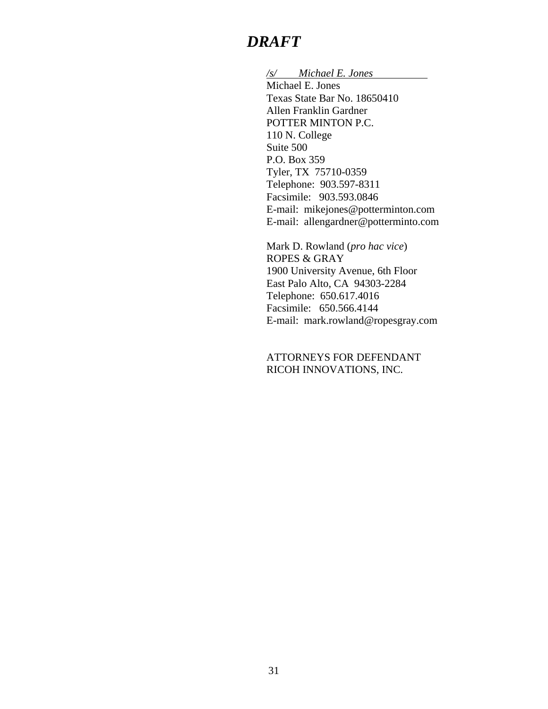*/s/ Michael E. Jones* 

Michael E. Jones Texas State Bar No. 18650410 Allen Franklin Gardner POTTER MINTON P.C. 110 N. College Suite 500 P.O. Box 359 Tyler, TX 75710-0359 Telephone: 903.597-8311 Facsimile: 903.593.0846 E-mail: mikejones@potterminton.com E-mail: allengardner@potterminto.com

Mark D. Rowland (*pro hac vice*) ROPES & GRAY 1900 University Avenue, 6th Floor East Palo Alto, CA 94303-2284 Telephone: 650.617.4016 Facsimile: 650.566.4144 E-mail: mark.rowland@ropesgray.com

ATTORNEYS FOR DEFENDANT RICOH INNOVATIONS, INC.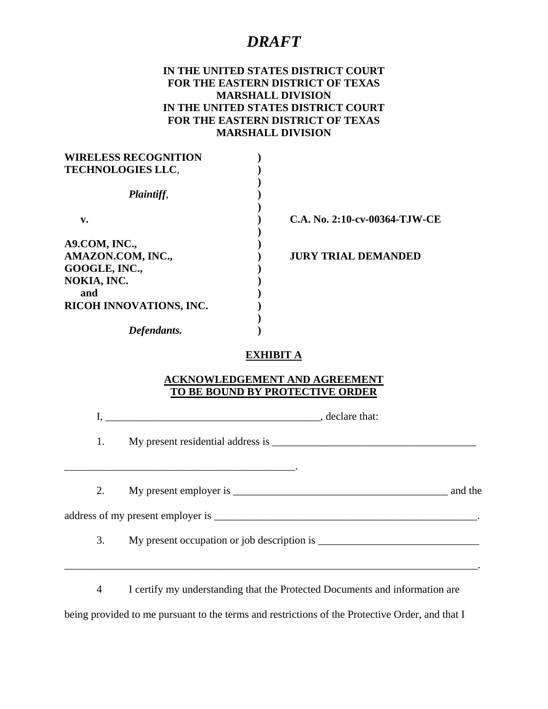#### **IN THE UNITED STATES DISTRICT COURT FOR THE EASTERN DISTRICT OF TEXAS MARSHALL DIVISION IN THE UNITED STATES DISTRICT COURT FOR THE EASTERN DISTRICT OF TEXAS MARSHALL DIVISION**

| C.A. No. 2:10-cv-00364-TJW-CE |
|-------------------------------|
|                               |
| <b>JURY TRIAL DEMANDED</b>    |
|                               |
|                               |
|                               |
|                               |
|                               |
|                               |
|                               |

#### **EXHIBIT A**

#### **ACKNOWLEDGEMENT AND AGREEMENT TO BE BOUND BY PROTECTIVE ORDER**

I, \_\_\_\_\_\_\_\_\_\_\_\_\_\_\_\_\_\_\_\_\_\_\_\_\_\_\_\_\_\_\_\_\_\_\_\_\_\_\_\_, declare that:

1. My present residential address is \_\_\_\_\_\_\_\_\_\_\_\_\_\_\_\_\_\_\_\_\_\_\_\_\_\_\_\_\_\_\_\_\_\_\_\_\_\_

 $\mathcal{L}=\mathcal{L}=\mathcal{L}=\mathcal{L}=\mathcal{L}=\mathcal{L}=\mathcal{L}=\mathcal{L}=\mathcal{L}=\mathcal{L}=\mathcal{L}=\mathcal{L}=\mathcal{L}=\mathcal{L}=\mathcal{L}=\mathcal{L}=\mathcal{L}=\mathcal{L}=\mathcal{L}=\mathcal{L}=\mathcal{L}=\mathcal{L}=\mathcal{L}=\mathcal{L}=\mathcal{L}=\mathcal{L}=\mathcal{L}=\mathcal{L}=\mathcal{L}=\mathcal{L}=\mathcal{L}=\mathcal{L}=\mathcal{L}=\mathcal{L}=\mathcal{L}=\mathcal{L}=\mathcal{$ 

2. My present employer is \_\_\_\_\_\_\_\_\_\_\_\_\_\_\_\_\_\_\_\_\_\_\_\_\_\_\_\_\_\_\_\_\_\_\_\_\_\_\_\_ and the

address of my present employer is \_\_\_\_\_\_\_\_\_\_\_\_\_\_\_\_\_\_\_\_\_\_\_\_\_\_\_\_\_\_\_\_\_\_\_\_\_\_\_\_\_\_\_\_\_\_\_\_\_.

3. My present occupation or job description is \_\_\_\_\_\_\_\_\_\_\_\_\_\_\_\_\_\_\_\_\_\_\_\_\_\_\_\_\_\_\_\_\_

4 I certify my understanding that the Protected Documents and information are

\_\_\_\_\_\_\_\_\_\_\_\_\_\_\_\_\_\_\_\_\_\_\_\_\_\_\_\_\_\_\_\_\_\_\_\_\_\_\_\_\_\_\_\_\_\_\_\_\_\_\_\_\_\_\_\_\_\_\_\_\_\_\_\_\_\_\_\_\_\_\_\_\_\_\_\_\_.

being provided to me pursuant to the terms and restrictions of the Protective Order, and that I